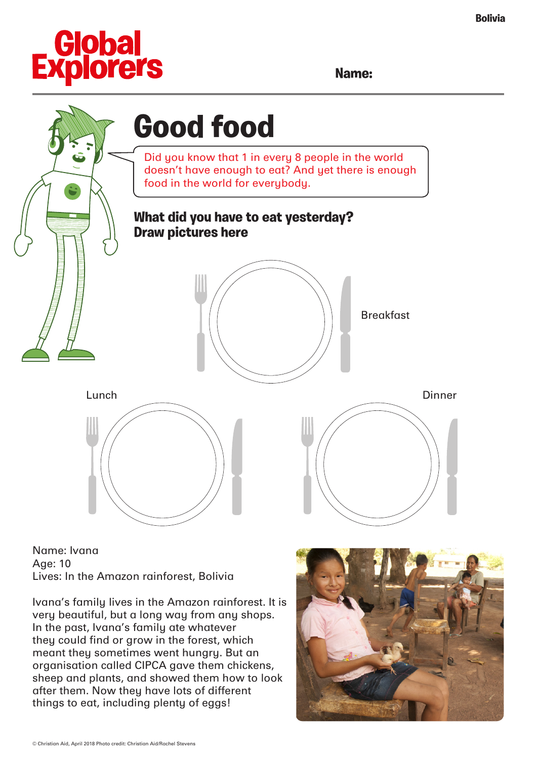

**Name:**



Name: Ivana Age: 10 Lives: In the Amazon rainforest, Bolivia

Ivana's family lives in the Amazon rainforest. It is very beautiful, but a long way from any shops. In the past, Ivana's family ate whatever they could find or grow in the forest, which meant they sometimes went hungry. But an organisation called CIPCA gave them chickens, sheep and plants, and showed them how to look after them. Now they have lots of different things to eat, including plenty of eggs!

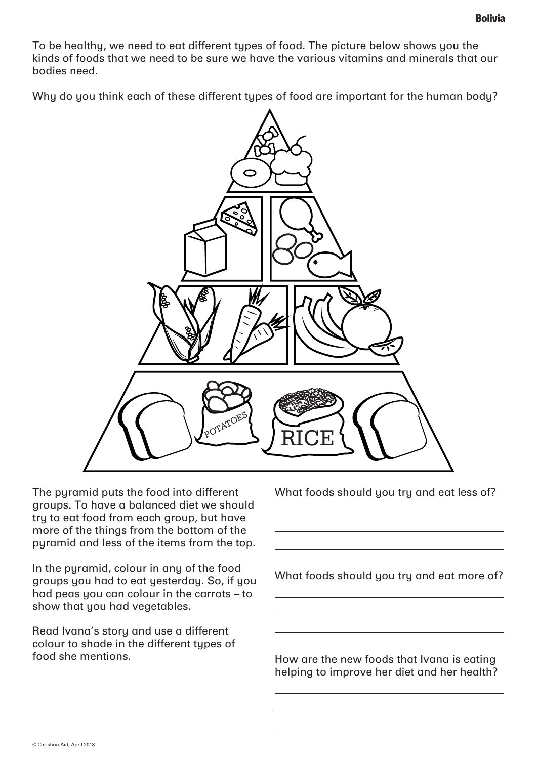To be healthy, we need to eat different types of food. The picture below shows you the kinds of foods that we need to be sure we have the various vitamins and minerals that our bodies need.

Why do you think each of these different types of food are important for the human body?



The pyramid puts the food into different groups. To have a balanced diet we should try to eat food from each group, but have more of the things from the bottom of the pyramid and less of the items from the top.

In the pyramid, colour in any of the food groups you had to eat yesterday. So, if you had peas you can colour in the carrots – to show that you had vegetables.

Read Ivana's story and use a different colour to shade in the different types of food she mentions.

What foods should you try and eat less of?

What foods should you try and eat more of?

How are the new foods that Ivana is eating helping to improve her diet and her health?